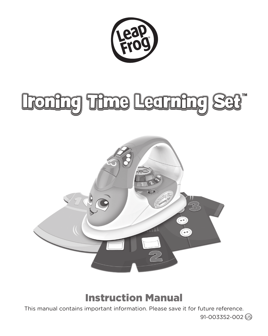

# Ironing Time Learning Set"



### Instruction Manual

This manual contains important information. Please save it for future reference.

91-003352-002 US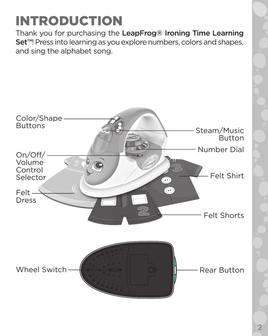# INTRODUCTION

Thank you for purchasing the LeapFrog® Ironing Time Learning Set<sup>™!</sup> Press into learning as you explore numbers, colors and shapes, and sing the alphabet song.

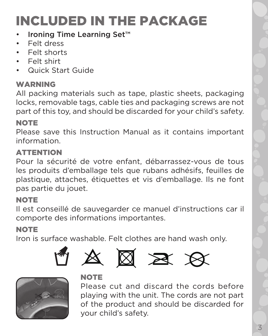# INCLUDED IN THE PACKAGE

- Ironing Time Learning Set™
- Felt dress
- Felt shorts
- Felt shirt
- Quick Start Guide

#### **WADNING**

All packing materials such as tape, plastic sheets, packaging locks, removable tags, cable ties and packaging screws are not part of this toy, and should be discarded for your child's safety.

#### **NOTE**

Please save this Instruction Manual as it contains important information.

#### **ATTENTION**

Pour la sécurité de votre enfant, débarrassez-vous de tous les produits d'emballage tels que rubans adhésifs, feuilles de plastique, attaches, étiquettes et vis d'emballage. Ils ne font pas partie du jouet.

#### NOTE

Il est conseillé de sauvegarder ce manuel d'instructions car il comporte des informations importantes.

#### **NOTE**

Iron is surface washable. Felt clothes are hand wash only.













#### **NOTE**

Please cut and discard the cords before playing with the unit. The cords are not part of the product and should be discarded for your child's safety.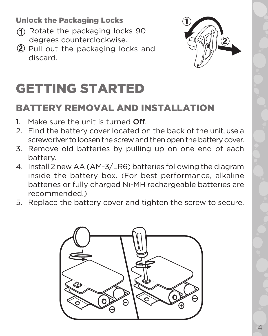Unlock the Packaging Locks

- Rotate the packaging locks 90 degrees counterclockwise.
- 2 Pull out the packaging locks and discard.



# GETTING STARTED

### BATTERY REMOVAL AND INSTALLATION

- 1. Make sure the unit is turned Off.
- 2. Find the battery cover located on the back of the unit, use a screwdriver to loosen the screw and then open the battery cover.
- 3. Remove old batteries by pulling up on one end of each battery.
- 4. Install 2 new AA (AM-3/LR6) batteries following the diagram inside the battery box. (For best performance, alkaline batteries or fully charged Ni-MH rechargeable batteries are recommended.)
- 5. Replace the battery cover and tighten the screw to secure.

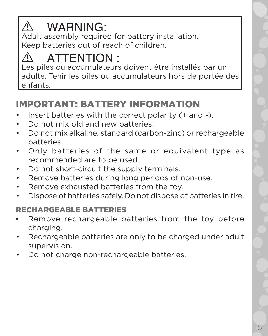#### ∕Ր WARNING:

Adult assembly required for battery installation. Keep batteries out of reach of children.

# ATTENTION :

Les piles ou accumulateurs doivent être installés par un adulte. Tenir les piles ou accumulateurs hors de portée des enfants.

### IMPORTANT: BATTERY INFORMATION

- Insert batteries with the correct polarity (+ and -).
- Do not mix old and new batteries.
- Do not mix alkaline, standard (carbon-zinc) or rechargeable batteries.
- Only batteries of the same or equivalent type as recommended are to be used.
- Do not short-circuit the supply terminals.
- Remove batteries during long periods of non-use.
- Remove exhausted batteries from the toy.
- Dispose of batteries safely. Do not dispose of batteries in fire.

#### RECHARGEABLE BATTERIES

- Remove rechargeable batteries from the toy before charging.
- Rechargeable batteries are only to be charged under adult supervision.
- Do not charge non-rechargeable batteries.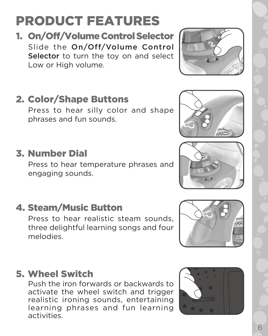# PRODUCT FEATURES

1. On/Off/Volume Control Selector Slide the On/Off/Volume Control Selector to turn the toy on and select Low or High volume.

# 2. Color/Shape Buttons

Press to hear silly color and shape phrases and fun sounds.

# 3. Number Dial

Press to hear temperature phrases and engaging sounds.

## 4. Steam/Music Button

Press to hear realistic steam sounds, three delightful learning songs and four melodies.

### 5. Wheel Switch

Push the iron forwards or backwards to activate the wheel switch and trigger realistic ironing sounds, entertaining learning phrases and fun learning activities.









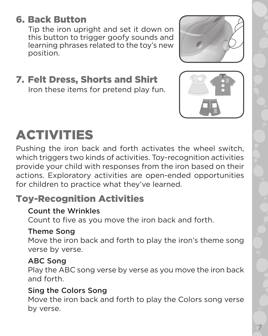### 6. Back Button

Tip the iron upright and set it down on this button to trigger goofy sounds and learning phrases related to the toy's new position.

7. Felt Dress, Shorts and Shirt Iron these items for pretend play fun.



Pushing the iron back and forth activates the wheel switch, which triggers two kinds of activities. Toy-recognition activities provide your child with responses from the iron based on their actions. Exploratory activities are open-ended opportunities for children to practice what they've learned.

#### Toy-Recognition Activities

#### Count the Wrinkles

Count to five as you move the iron back and forth.

#### Theme Song

Move the iron back and forth to play the iron's theme song verse by verse.

#### ABC Song

Play the ABC song verse by verse as you move the iron back and forth.

#### Sing the Colors Song

Move the iron back and forth to play the Colors song verse by verse.





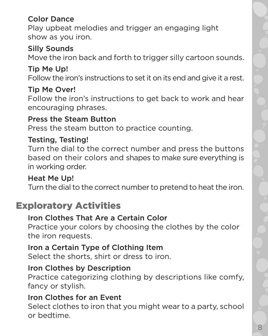#### Color Dance

Play upbeat melodies and trigger an engaging light show as you iron.

#### Silly Sounds

Move the iron back and forth to trigger silly cartoon sounds.

#### Tip Me Up!

Follow the iron's instructions to set it on its end and give it a rest.

#### Tip Me Over!

Follow the iron's instructions to get back to work and hear encouraging phrases.

#### Press the Steam Button

Press the steam button to practice counting.

#### Testing, Testing!

Turn the dial to the correct number and press the buttons based on their colors and shapes to make sure everything is in working order.

#### Heat Me Up!

Turn the dial to the correct number to pretend to heat the iron.

#### Exploratory Activities

#### Iron Clothes That Are a Certain Color

Practice your colors by choosing the clothes by the color the iron requests.

#### Iron a Certain Type of Clothing Item

Select the shorts, shirt or dress to iron.

#### Iron Clothes by Description

Practice categorizing clothing by descriptions like comfy, fancy or stylish.

#### Iron Clothes for an Event

Select clothes to iron that you might wear to a party, school or bedtime.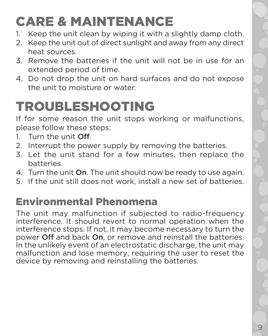# CARE & MAINTENANCE

- 1. Keep the unit clean by wiping it with a slightly damp cloth.
- 2. Keep the unit out of direct sunlight and away from any direct heat sources.
- 3. Remove the batteries if the unit will not be in use for an extended period of time.
- 4. Do not drop the unit on hard surfaces and do not expose the unit to moisture or water.

# TROUBLESHOOTING

If for some reason the unit stops working or malfunctions, please follow these steps:

- 1. Turn the unit Off.
- 2. Interrupt the power supply by removing the batteries.
- 3. Let the unit stand for a few minutes, then replace the batteries.
- 4. Turn the unit On. The unit should now be ready to use again.
- 5. If the unit still does not work, install a new set of batteries.

## Environmental Phenomena

The unit may malfunction if subjected to radio-frequency interference. It should revert to normal operation when the interference stops. If not, it may become necessary to turn the power Off and back On, or remove and reinstall the batteries. In the unlikely event of an electrostatic discharge, the unit may malfunction and lose memory, requiring the user to reset the device by removing and reinstalling the batteries.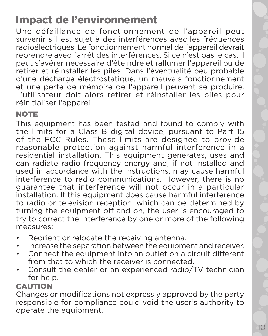## Impact de l'environnement

Une défaillance de fonctionnement de l'appareil peut survenir s'il est sujet à des interférences avec les fréquences radioélectriques. Le fonctionnement normal de l'appareil devrait reprendre avec l'arrêt des interférences. Si ce n'est pas le cas, il peut s'avérer nécessaire d'éteindre et rallumer l'appareil ou de retirer et réinstaller les piles. Dans l'éventualité peu probable d'une décharge électrostatique, un mauvais fonctionnement et une perte de mémoire de l'appareil peuvent se produire. L'utilisateur doit alors retirer et réinstaller les piles pour réinitialiser l'appareil.

#### **NOTE**

This equipment has been tested and found to comply with the limits for a Class B digital device, pursuant to Part 15 of the FCC Rules. These limits are designed to provide reasonable protection against harmful interference in a residential installation. This equipment generates, uses and can radiate radio frequency energy and, if not installed and used in accordance with the instructions, may cause harmful interference to radio communications. However, there is no guarantee that interference will not occur in a particular installation. If this equipment does cause harmful interference to radio or television reception, which can be determined by turning the equipment off and on, the user is encouraged to try to correct the interference by one or more of the following measures:

- Reorient or relocate the receiving antenna.
- Increase the separation between the equipment and receiver.
- Connect the equipment into an outlet on a circuit different from that to which the receiver is connected.
- Consult the dealer or an experienced radio/TV technician for help.

#### **CAUTION**

Changes or modifications not expressly approved by the party responsible for compliance could void the user's authority to operate the equipment.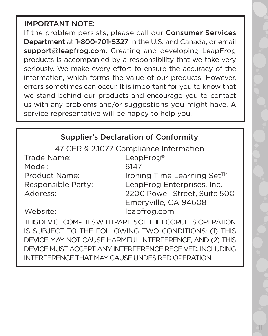#### IMPORTANT NOTE:

If the problem persists, please call our Consumer Services Department at 1-800-701-5327 in the U.S. and Canada, or email support@leapfrog.com. Creating and developing LeapFrog products is accompanied by a responsibility that we take very seriously. We make every effort to ensure the accuracy of the information, which forms the value of our products. However, errors sometimes can occur. It is important for you to know that we stand behind our products and encourage you to contact us with any problems and/or suggestions you might have. A service representative will be happy to help you.

#### Supplier's Declaration of Conformity

47 CFR § 2.1077 Compliance Information

Trade Name: LeapFrog® Model: 6147

Product Name: Ironing Time Learning Set™ Responsible Party: LeapFrog Enterprises, Inc. Address: 2200 Powell Street, Suite 500 Emeryville, CA 94608 Website: leapfrog.com

THIS DEVICE COMPLIES WITH PART 15 OF THE FCC RULES. OPERATION IS SUBJECT TO THE FOLLOWING TWO CONDITIONS: (1) THIS DEVICE MAY NOT CAUSE HARMFUL INTERFERENCE, AND (2) THIS DEVICE MUST ACCEPT ANY INTERFERENCE RECEIVED, INCLUDING INTERFERENCE THAT MAY CAUSE UNDESIRED OPERATION.